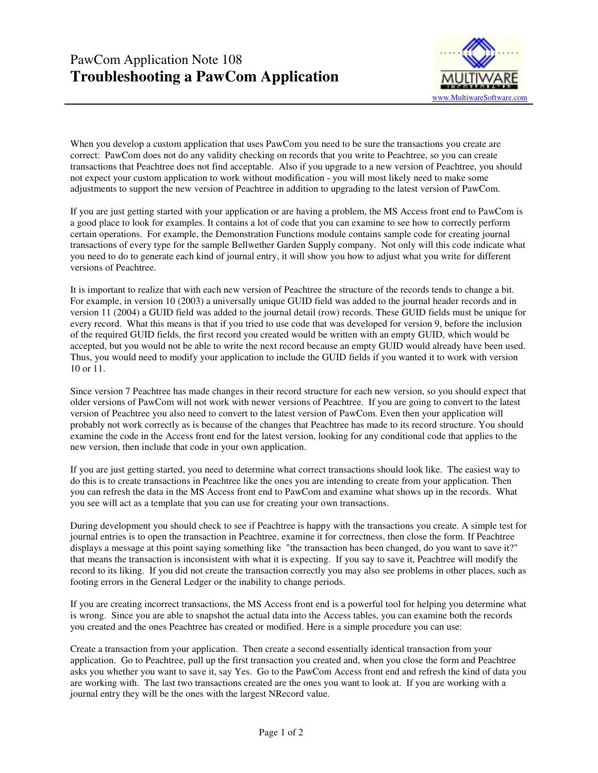

When you develop a custom application that uses PawCom you need to be sure the transactions you create are correct: PawCom does not do any validity checking on records that you write to Peachtree, so you can create transactions that Peachtree does not find acceptable. Also if you upgrade to a new version of Peachtree, you should not expect your custom application to work without modification - you will most likely need to make some adjustments to support the new version of Peachtree in addition to upgrading to the latest version of PawCom.

If you are just getting started with your application or are having a problem, the MS Access front end to PawCom is a good place to look for examples. It contains a lot of code that you can examine to see how to correctly perform certain operations. For example, the Demonstration Functions module contains sample code for creating journal transactions of every type for the sample Bellwether Garden Supply company. Not only will this code indicate what you need to do to generate each kind of journal entry, it will show you how to adjust what you write for different versions of Peachtree.

It is important to realize that with each new version of Peachtree the structure of the records tends to change a bit. For example, in version 10 (2003) a universally unique GUID field was added to the journal header records and in version 11 (2004) a GUID field was added to the journal detail (row) records. These GUID fields must be unique for every record. What this means is that if you tried to use code that was developed for version 9, before the inclusion of the required GUID fields, the first record you created would be written with an empty GUID, which would be accepted, but you would not be able to write the next record because an empty GUID would already have been used. Thus, you would need to modify your application to include the GUID fields if you wanted it to work with version 10 or 11.

Since version 7 Peachtree has made changes in their record structure for each new version, so you should expect that older versions of PawCom will not work with newer versions of Peachtree. If you are going to convert to the latest version of Peachtree you also need to convert to the latest version of PawCom. Even then your application will probably not work correctly as is because of the changes that Peachtree has made to its record structure. You should examine the code in the Access front end for the latest version, looking for any conditional code that applies to the new version, then include that code in your own application.

If you are just getting started, you need to determine what correct transactions should look like. The easiest way to do this is to create transactions in Peachtree like the ones you are intending to create from your application. Then you can refresh the data in the MS Access front end to PawCom and examine what shows up in the records. What you see will act as a template that you can use for creating your own transactions.

During development you should check to see if Peachtree is happy with the transactions you create. A simple test for journal entries is to open the transaction in Peachtree, examine it for correctness, then close the form. If Peachtree displays a message at this point saying something like "the transaction has been changed, do you want to save it?" that means the transaction is inconsistent with what it is expecting. If you say to save it, Peachtree will modify the record to its liking. If you did not create the transaction correctly you may also see problems in other places, such as footing errors in the General Ledger or the inability to change periods.

If you are creating incorrect transactions, the MS Access front end is a powerful tool for helping you determine what is wrong. Since you are able to snapshot the actual data into the Access tables, you can examine both the records you created and the ones Peachtree has created or modified. Here is a simple procedure you can use:

Create a transaction from your application. Then create a second essentially identical transaction from your application. Go to Peachtree, pull up the first transaction you created and, when you close the form and Peachtree asks you whether you want to save it, say Yes. Go to the PawCom Access front end and refresh the kind of data you are working with. The last two transactions created are the ones you want to look at. If you are working with a journal entry they will be the ones with the largest NRecord value.